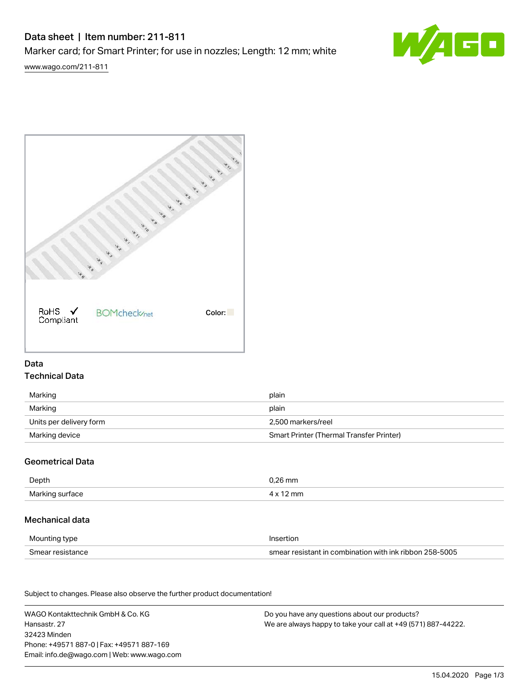# Data sheet | Item number: 211-811 Marker card; for Smart Printer; for use in nozzles; Length: 12 mm; white



[www.wago.com/211-811](http://www.wago.com/211-811)



## Data Technical Data

| Marking                 | plain                                    |
|-------------------------|------------------------------------------|
| Marking                 | plain                                    |
| Units per delivery form | 2.500 markers/reel                       |
| Marking device          | Smart Printer (Thermal Transfer Printer) |

## Geometrical Data

| Depth                    | ).26 mm |
|--------------------------|---------|
| Marking sur<br>tace<br>. | mm      |

### Mechanical data

| Mounting type    | Insertion                                               |
|------------------|---------------------------------------------------------|
| Smear resistance | smear resistant in combination with ink ribbon 258-5005 |

Subject to changes. Please also observe the further product documentation! Material Data

WAGO Kontakttechnik GmbH & Co. KG Hansastr. 27 32423 Minden Phone: +49571 887-0 | Fax: +49571 887-169 Email: info.de@wago.com | Web: www.wago.com Do you have any questions about our products? We are always happy to take your call at +49 (571) 887-44222.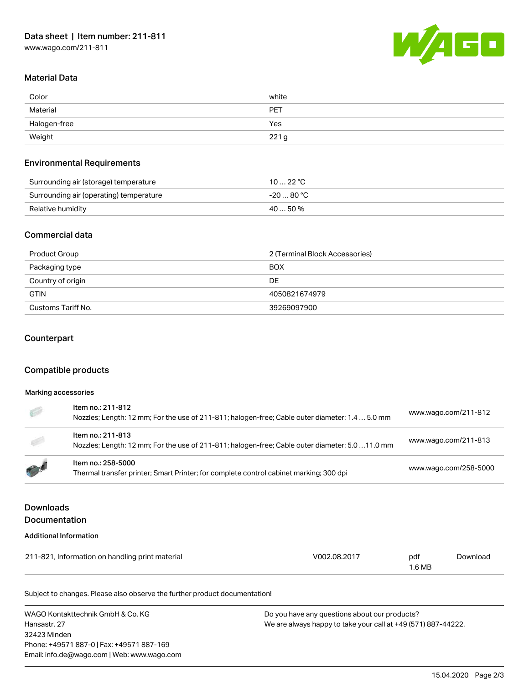

## Material Data

| Color        | white      |
|--------------|------------|
| Material     | <b>PET</b> |
| Halogen-free | Yes        |
| Weight       | 221g       |

#### Environmental Requirements

| Surrounding air (storage) temperature   | 1022 °C    |
|-----------------------------------------|------------|
| Surrounding air (operating) temperature | -20  80 °C |
| Relative humidity                       | $4050\%$   |

#### Commercial data

| Product Group      | 2 (Terminal Block Accessories) |  |
|--------------------|--------------------------------|--|
| Packaging type     | <b>BOX</b>                     |  |
| Country of origin  | DE                             |  |
| <b>GTIN</b>        | 4050821674979                  |  |
| Customs Tariff No. | 39269097900                    |  |

#### Counterpart

## Compatible products

#### Marking accessories

| 新           | Item no.: 211-812<br>Nozzles; Length: 12 mm; For the use of 211-811; halogen-free; Cable outer diameter: 1.4  5.0 mm | www.wago.com/211-812  |
|-------------|----------------------------------------------------------------------------------------------------------------------|-----------------------|
|             | Item no.: 211-813<br>Nozzles; Length: 12 mm; For the use of 211-811; halogen-free; Cable outer diameter: 5.0 11.0 mm | www.wago.com/211-813  |
| <b>PASS</b> | Item no.: 258-5000<br>Thermal transfer printer; Smart Printer; for complete control cabinet marking; 300 dpi         | www.wago.com/258-5000 |

## Downloads Documentation

#### Additional Information

| 211-821, Information on handling print material | V002.08.2017 | pdf    | Download |
|-------------------------------------------------|--------------|--------|----------|
|                                                 |              | 1.6 MB |          |

Subject to changes. Please also observe the further product documentation!

WAGO Kontakttechnik GmbH & Co. KG Hansastr. 27 32423 Minden Phone: +49571 887-0 | Fax: +49571 887-169 Email: info.de@wago.com | Web: www.wago.com Do you have any questions about our products? We are always happy to take your call at +49 (571) 887-44222.